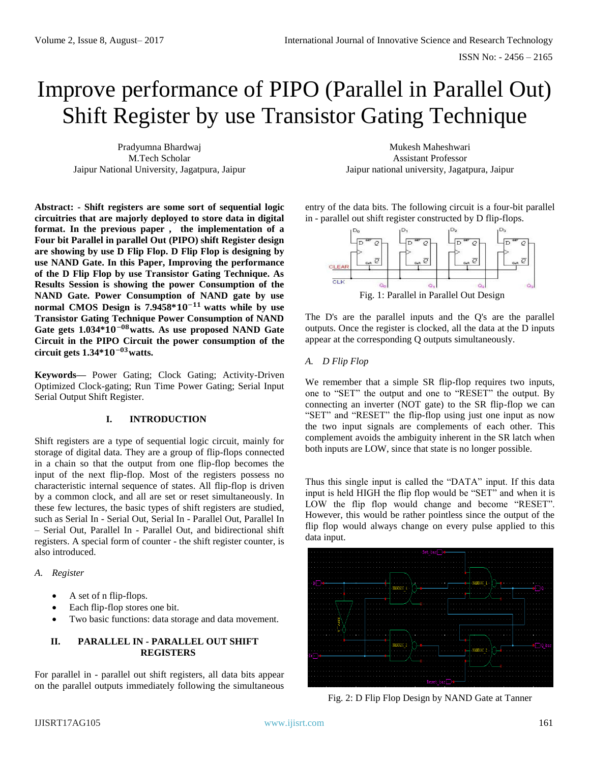# Improve performance of PIPO (Parallel in Parallel Out) Shift Register by use Transistor Gating Technique

Pradyumna Bhardwaj M.Tech Scholar Jaipur National University, Jagatpura, Jaipur

**Abstract: - Shift registers are some sort of sequential logic circuitries that are majorly deployed to store data in digital format. In the previous paper , the implementation of a Four bit Parallel in parallel Out (PIPO) shift Register design are showing by use D Flip Flop. D Flip Flop is designing by use NAND Gate. In this Paper, Improving the performance of the D Flip Flop by use Transistor Gating Technique. As Results Session is showing the power Consumption of the NAND Gate. Power Consumption of NAND gate by use normal CMOS Design is 7.9458\*10<sup>-11</sup> watts while by use Transistor Gating Technique Power Consumption of NAND Gate gets 1.034\***−**watts. As use proposed NAND Gate Circuit in the PIPO Circuit the power consumption of the circuit gets 1.34\***−**watts.** 

**Keywords—** Power Gating; Clock Gating; Activity-Driven Optimized Clock-gating; Run Time Power Gating; Serial Input Serial Output Shift Register.

# **I. INTRODUCTION**

Shift registers are a type of sequential logic circuit, mainly for storage of digital data. They are a group of flip-flops connected in a chain so that the output from one flip-flop becomes the input of the next flip-flop. Most of the registers possess no characteristic internal sequence of states. All flip-flop is driven by a common clock, and all are set or reset simultaneously. In these few lectures, the basic types of shift registers are studied, such as Serial In - Serial Out, Serial In - Parallel Out, Parallel In – Serial Out, Parallel In - Parallel Out, and bidirectional shift registers. A special form of counter - the shift register counter, is also introduced.

*A. Register*

- A set of n flip-flops.
- Each flip-flop stores one bit.
- Two basic functions: data storage and data movement.

### **II. PARALLEL IN - PARALLEL OUT SHIFT REGISTERS**

For parallel in - parallel out shift registers, all data bits appear on the parallel outputs immediately following the simultaneous

Mukesh Maheshwari Assistant Professor Jaipur national university, Jagatpura, Jaipur

entry of the data bits. The following circuit is a four-bit parallel in - parallel out shift register constructed by D flip-flops.



The D's are the parallel inputs and the Q's are the parallel outputs. Once the register is clocked, all the data at the D inputs appear at the corresponding Q outputs simultaneously.

# *A. D Flip Flop*

We remember that a simple SR flip-flop requires two inputs, one to "SET" the output and one to "RESET" the output. By connecting an inverter (NOT gate) to the SR flip-flop we can "SET" and "RESET" the flip-flop using just one input as now the two input signals are complements of each other. This complement avoids the ambiguity inherent in the SR latch when both inputs are LOW, since that state is no longer possible.

Thus this single input is called the "DATA" input. If this data input is held HIGH the flip flop would be "SET" and when it is LOW the flip flop would change and become "RESET". However, this would be rather pointless since the output of the flip flop would always change on every pulse applied to this data input.



Fig. 2: D Flip Flop Design by NAND Gate at Tanner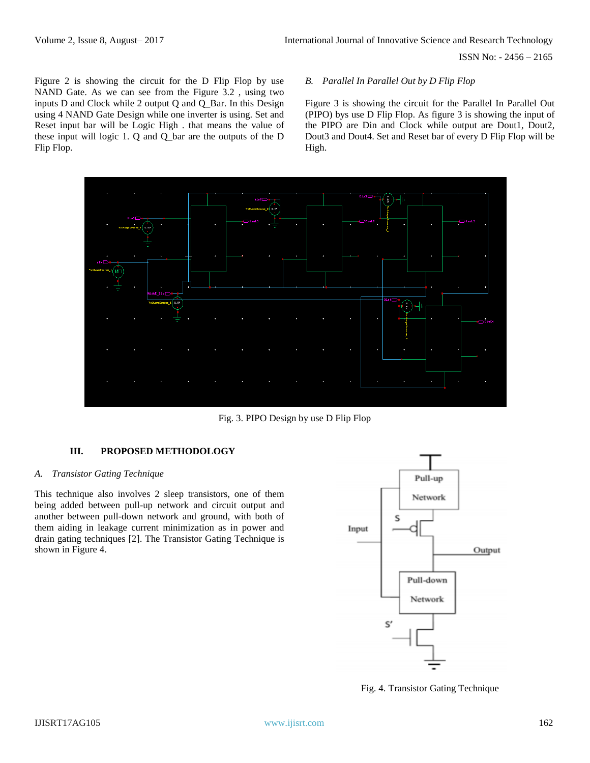ISSN No: - 2456 – 2165

Figure 2 is showing the circuit for the D Flip Flop by use NAND Gate. As we can see from the Figure 3.2 , using two inputs D and Clock while 2 output Q and Q\_Bar. In this Design using 4 NAND Gate Design while one inverter is using. Set and Reset input bar will be Logic High . that means the value of these input will logic 1. Q and Q\_bar are the outputs of the D Flip Flop.

#### *B. Parallel In Parallel Out by D Flip Flop*

Figure 3 is showing the circuit for the Parallel In Parallel Out (PIPO) bys use D Flip Flop. As figure 3 is showing the input of the PIPO are Din and Clock while output are Dout1, Dout2, Dout3 and Dout4. Set and Reset bar of every D Flip Flop will be High.



Fig. 3. PIPO Design by use D Flip Flop

# **III. PROPOSED METHODOLOGY**

#### *A. Transistor Gating Technique*

This technique also involves 2 sleep transistors, one of them being added between pull-up network and circuit output and another between pull-down network and ground, with both of them aiding in leakage current minimization as in power and drain gating techniques [2]. The Transistor Gating Technique is shown in Figure 4.



Fig. 4. Transistor Gating Technique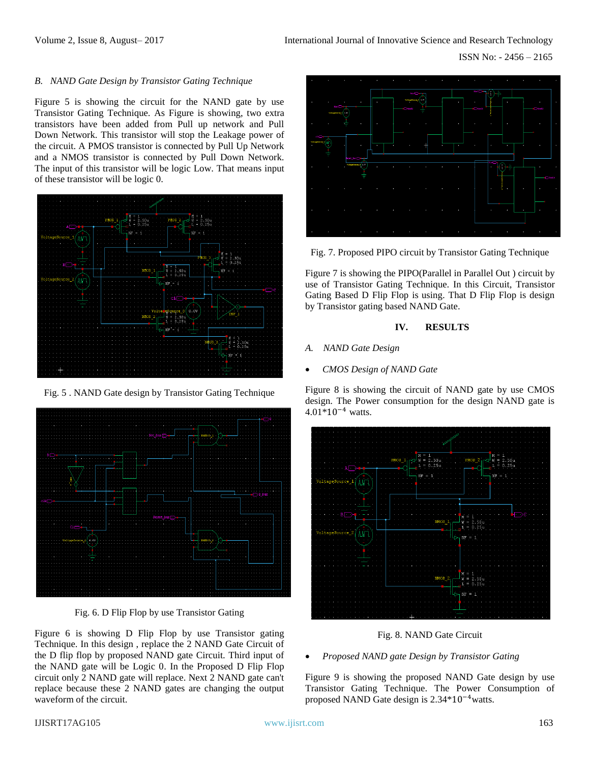# *B. NAND Gate Design by Transistor Gating Technique*

Figure 5 is showing the circuit for the NAND gate by use Transistor Gating Technique. As Figure is showing, two extra transistors have been added from Pull up network and Pull Down Network. This transistor will stop the Leakage power of the circuit. A PMOS transistor is connected by Pull Up Network and a NMOS transistor is connected by Pull Down Network. The input of this transistor will be logic Low. That means input of these transistor will be logic 0.



Fig. 5 . NAND Gate design by Transistor Gating Technique



Fig. 6. D Flip Flop by use Transistor Gating

Figure 6 is showing D Flip Flop by use Transistor gating Technique. In this design , replace the 2 NAND Gate Circuit of the D flip flop by proposed NAND gate Circuit. Third input of the NAND gate will be Logic 0. In the Proposed D Flip Flop circuit only 2 NAND gate will replace. Next 2 NAND gate can't replace because these 2 NAND gates are changing the output waveform of the circuit.



Fig. 7. Proposed PIPO circuit by Transistor Gating Technique

Figure 7 is showing the PIPO(Parallel in Parallel Out ) circuit by use of Transistor Gating Technique. In this Circuit, Transistor Gating Based D Flip Flop is using. That D Flip Flop is design by Transistor gating based NAND Gate.

#### **IV. RESULTS**

- *A. NAND Gate Design*
- *CMOS Design of NAND Gate*

Figure 8 is showing the circuit of NAND gate by use CMOS design. The Power consumption for the design NAND gate is 4.01\*10−4 watts.



Fig. 8. NAND Gate Circuit

• *Proposed NAND gate Design by Transistor Gating* 

Figure 9 is showing the proposed NAND Gate design by use Transistor Gating Technique. The Power Consumption of proposed NAND Gate design is 2.34\*10−4watts.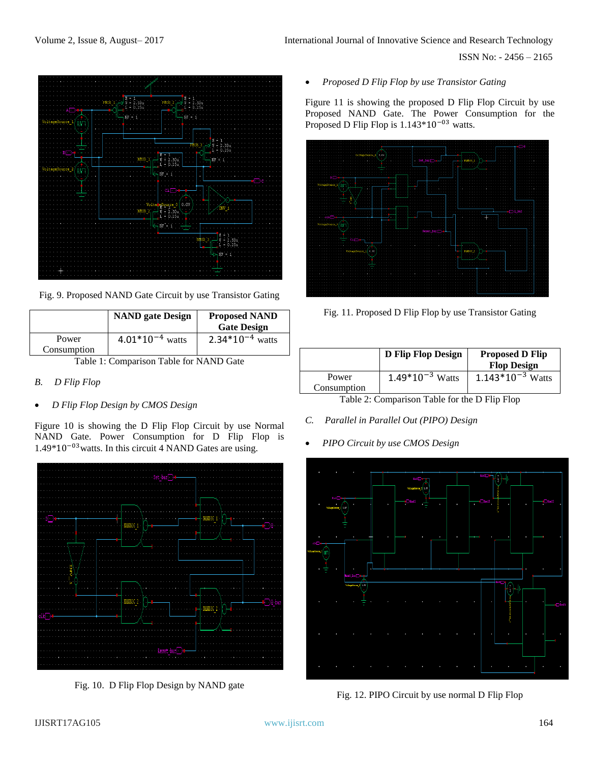ISSN No: - 2456 – 2165



Fig. 9. Proposed NAND Gate Circuit by use Transistor Gating

|                      | <b>NAND</b> gate Design | <b>Proposed NAND</b><br><b>Gate Design</b> |
|----------------------|-------------------------|--------------------------------------------|
| Power<br>Consumption | $4.01*10^{-4}$ watts    | $2.34*10^{-4}$ watts                       |

Table 1: Comparison Table for NAND Gate

- *B. D Flip Flop*
- *D Flip Flop Design by CMOS Design*

Figure 10 is showing the D Flip Flop Circuit by use Normal NAND Gate. Power Consumption for D Flip Flop is 1.49\*10−03watts. In this circuit 4 NAND Gates are using.



Fig. 10. D Flip Flop Design by NAND gate

Figure 11 is showing the proposed D Flip Flop Circuit by use Proposed NAND Gate. The Power Consumption for the Proposed D Flip Flop is 1.143\*10−03 watts.



Fig. 11. Proposed D Flip Flop by use Transistor Gating

|             | D Flip Flop Design   | <b>Proposed D Flip</b><br><b>Flop Design</b> |
|-------------|----------------------|----------------------------------------------|
| Power       | $1.49*10^{-3}$ Watts | $1.143*10^{-3}$ Watts                        |
| Consumption |                      |                                              |

Table 2: Comparison Table for the D Flip Flop

- *C. Parallel in Parallel Out (PIPO) Design*
- *PIPO Circuit by use CMOS Design*



Fig. 12. PIPO Circuit by use normal D Flip Flop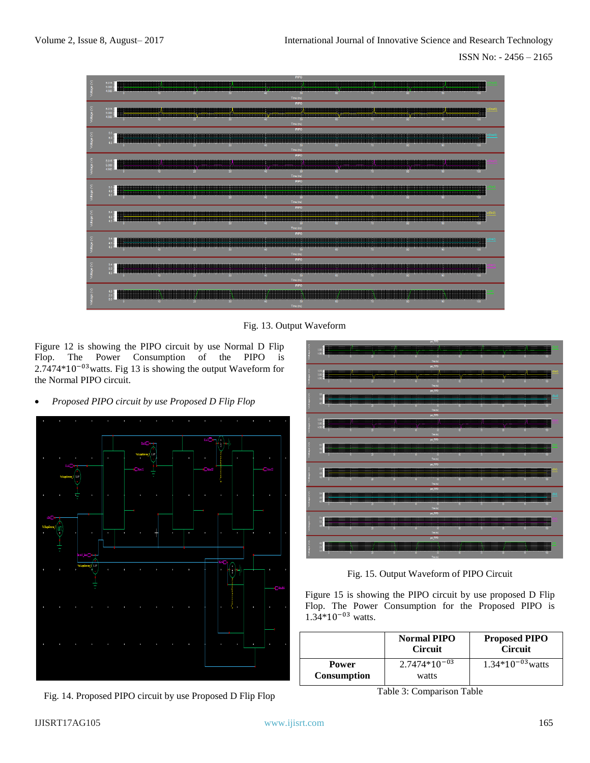

Fig. 13. Output Waveform

Figure 12 is showing the PIPO circuit by use Normal D Flip Flop. The Power Consumption of the PIPO is 2.7474\*10−03watts. Fig 13 is showing the output Waveform for the Normal PIPO circuit.

• *Proposed PIPO circuit by use Proposed D Flip Flop* 



Fig. 14. Proposed PIPO circuit by use Proposed D Flip Flop



Fig. 15. Output Waveform of PIPO Circuit

Figure 15 is showing the PIPO circuit by use proposed D Flip Flop. The Power Consumption for the Proposed PIPO is 1.34\*10−03 watts.

|                                    | <b>Normal PIPO</b><br><b>Circuit</b> | <b>Proposed PIPO</b><br><b>Circuit</b> |
|------------------------------------|--------------------------------------|----------------------------------------|
| <b>Power</b><br><b>Consumption</b> | $2.7474*10^{-03}$<br>watts           | $1.34*10^{-03}$ watts                  |

Table 3: Comparison Table